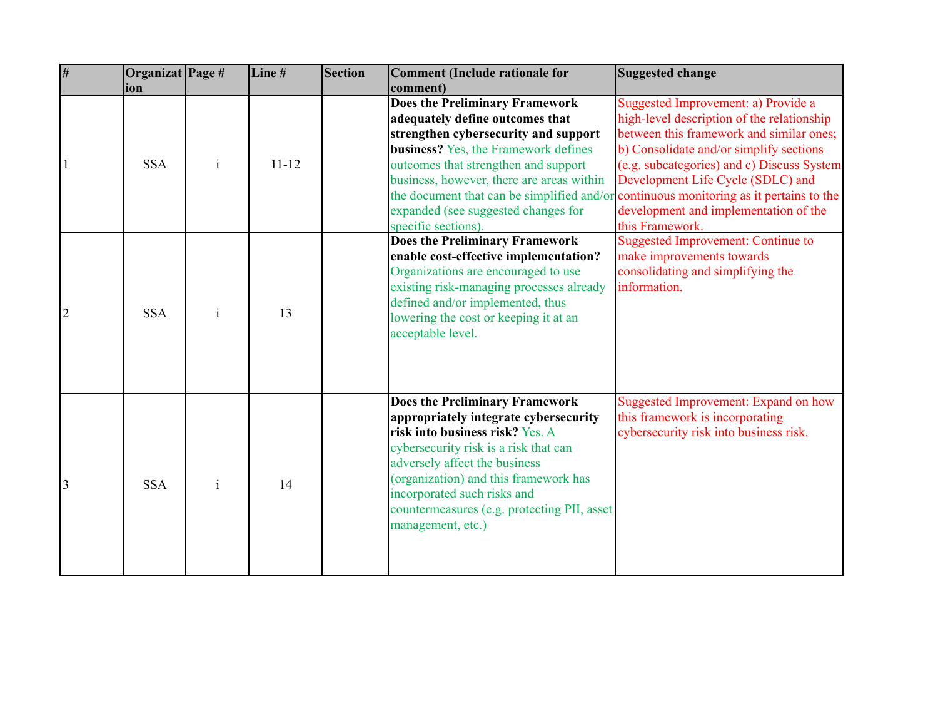| $\overline{\overline{H}}$ | Organizat Page # |              | Line#     | Section | Comment (Include rationale for              | Suggested change                                                                       |
|---------------------------|------------------|--------------|-----------|---------|---------------------------------------------|----------------------------------------------------------------------------------------|
|                           | ion              |              |           |         | comment)                                    |                                                                                        |
|                           |                  |              |           |         | Does the Preliminary Framework              | Suggested Improvement: a) Provide a                                                    |
|                           |                  |              |           |         | adequately define outcomes that             | high-level description of the relationship                                             |
|                           |                  |              |           |         | strengthen cybersecurity and support        | between this framework and similar ones;                                               |
|                           |                  |              |           |         | <b>business?</b> Yes, the Framework defines | b) Consolidate and/or simplify sections                                                |
|                           | <b>SSA</b>       | $\mathbf{1}$ | $11 - 12$ |         | outcomes that strengthen and support        | (e.g. subcategories) and c) Discuss System                                             |
|                           |                  |              |           |         | business, however, there are areas within   | Development Life Cycle (SDLC) and                                                      |
|                           |                  |              |           |         |                                             | the document that can be simplified and/or continuous monitoring as it pertains to the |
|                           |                  |              |           |         | expanded (see suggested changes for         | development and implementation of the                                                  |
|                           |                  |              |           |         | specific sections).                         | this Framework.                                                                        |
|                           |                  |              |           |         | Does the Preliminary Framework              | <b>Suggested Improvement: Continue to</b>                                              |
|                           |                  |              |           |         | enable cost-effective implementation?       | make improvements towards                                                              |
|                           |                  |              |           |         | Organizations are encouraged to use         | consolidating and simplifying the                                                      |
|                           |                  |              |           |         | existing risk-managing processes already    | information.                                                                           |
|                           | <b>SSA</b>       | $\mathbf{i}$ | 13        |         | defined and/or implemented, thus            |                                                                                        |
|                           |                  |              |           |         | lowering the cost or keeping it at an       |                                                                                        |
|                           |                  |              |           |         | acceptable level.                           |                                                                                        |
|                           |                  |              |           |         |                                             |                                                                                        |
|                           |                  |              |           |         |                                             |                                                                                        |
|                           |                  |              |           |         |                                             |                                                                                        |
|                           |                  |              |           |         | <b>Does the Preliminary Framework</b>       | Suggested Improvement: Expand on how                                                   |
|                           |                  |              |           |         | appropriately integrate cybersecurity       | this framework is incorporating                                                        |
|                           |                  |              |           |         | risk into business risk? Yes. A             | cybersecurity risk into business risk.                                                 |
|                           |                  |              |           |         | cybersecurity risk is a risk that can       |                                                                                        |
|                           |                  |              |           |         | adversely affect the business               |                                                                                        |
| 3                         | <b>SSA</b>       | $\mathbf{i}$ | 14        |         | (organization) and this framework has       |                                                                                        |
|                           |                  |              |           |         | incorporated such risks and                 |                                                                                        |
|                           |                  |              |           |         | countermeasures (e.g. protecting PII, asset |                                                                                        |
|                           |                  |              |           |         | management, etc.)                           |                                                                                        |
|                           |                  |              |           |         |                                             |                                                                                        |
|                           |                  |              |           |         |                                             |                                                                                        |
|                           |                  |              |           |         |                                             |                                                                                        |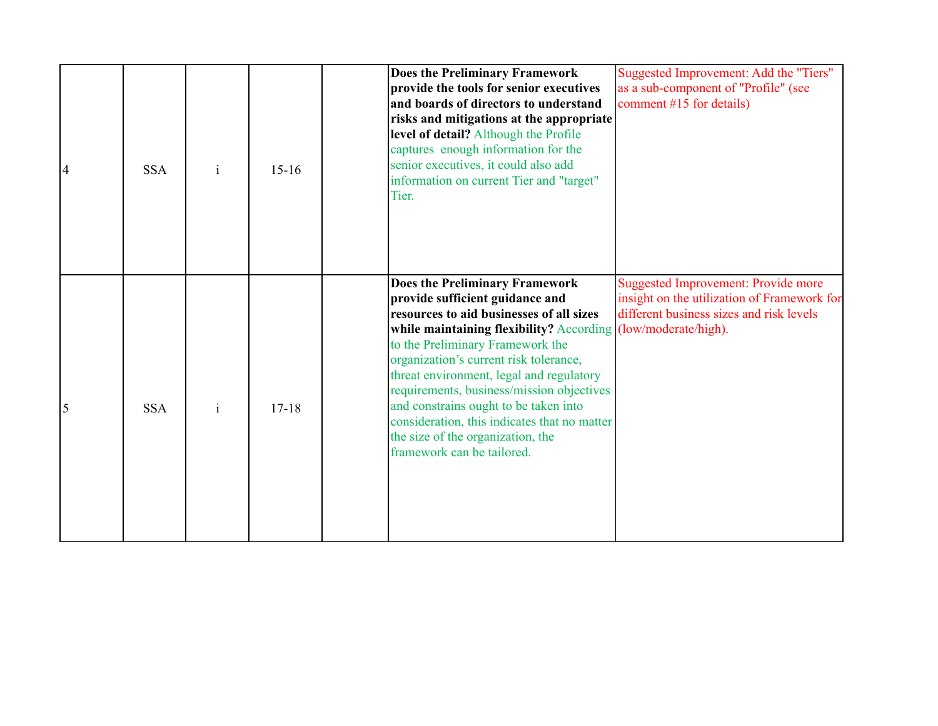| $\overline{4}$ | <b>SSA</b> | $\mathbf{i}$ | $15-16$   | <b>Does the Preliminary Framework</b><br>provide the tools for senior executives<br>and boards of directors to understand<br>risks and mitigations at the appropriate<br>level of detail? Although the Profile<br>captures enough information for the<br>senior executives, it could also add<br>information on current Tier and "target"<br>Tier.                                                                                                                                                                       | Suggested Improvement: Add the "Tiers"<br>as a sub-component of "Profile" (see<br>comment #15 for details)                            |
|----------------|------------|--------------|-----------|--------------------------------------------------------------------------------------------------------------------------------------------------------------------------------------------------------------------------------------------------------------------------------------------------------------------------------------------------------------------------------------------------------------------------------------------------------------------------------------------------------------------------|---------------------------------------------------------------------------------------------------------------------------------------|
| 5              | <b>SSA</b> | $\mathbf{i}$ | $17 - 18$ | <b>Does the Preliminary Framework</b><br>provide sufficient guidance and<br>resources to aid businesses of all sizes<br>while maintaining flexibility? According (low/moderate/high).<br>to the Preliminary Framework the<br>organization's current risk tolerance,<br>threat environment, legal and regulatory<br>requirements, business/mission objectives<br>and constrains ought to be taken into<br>consideration, this indicates that no matter<br>the size of the organization, the<br>framework can be tailored. | <b>Suggested Improvement: Provide more</b><br>insight on the utilization of Framework for<br>different business sizes and risk levels |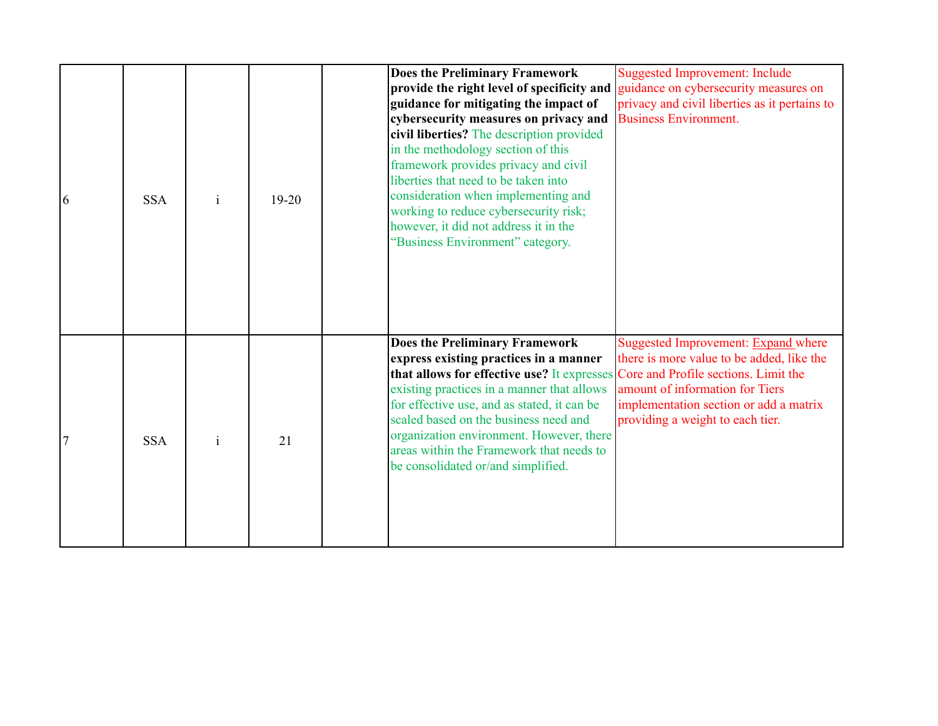| 6 | <b>SSA</b> | $\mathbf{i}$ | $19 - 20$ | <b>Suggested Improvement: Include</b><br><b>Does the Preliminary Framework</b><br>provide the right level of specificity and guidance on cybersecurity measures on<br>guidance for mitigating the impact of<br>privacy and civil liberties as it pertains to<br>cybersecurity measures on privacy and<br><b>Business Environment.</b><br>civil liberties? The description provided<br>in the methodology section of this<br>framework provides privacy and civil<br>liberties that need to be taken into<br>consideration when implementing and<br>working to reduce cybersecurity risk;<br>however, it did not address it in the<br>"Business Environment" category. |
|---|------------|--------------|-----------|-----------------------------------------------------------------------------------------------------------------------------------------------------------------------------------------------------------------------------------------------------------------------------------------------------------------------------------------------------------------------------------------------------------------------------------------------------------------------------------------------------------------------------------------------------------------------------------------------------------------------------------------------------------------------|
|   | <b>SSA</b> |              | 21        | Suggested Improvement: Expand where<br>Does the Preliminary Framework<br>there is more value to be added, like the<br>express existing practices in a manner<br>that allows for effective use? It expresses<br>Core and Profile sections. Limit the<br>existing practices in a manner that allows<br>amount of information for Tiers<br>for effective use, and as stated, it can be<br>implementation section or add a matrix<br>scaled based on the business need and<br>providing a weight to each tier.<br>organization environment. However, there<br>areas within the Framework that needs to<br>be consolidated or/and simplified.                              |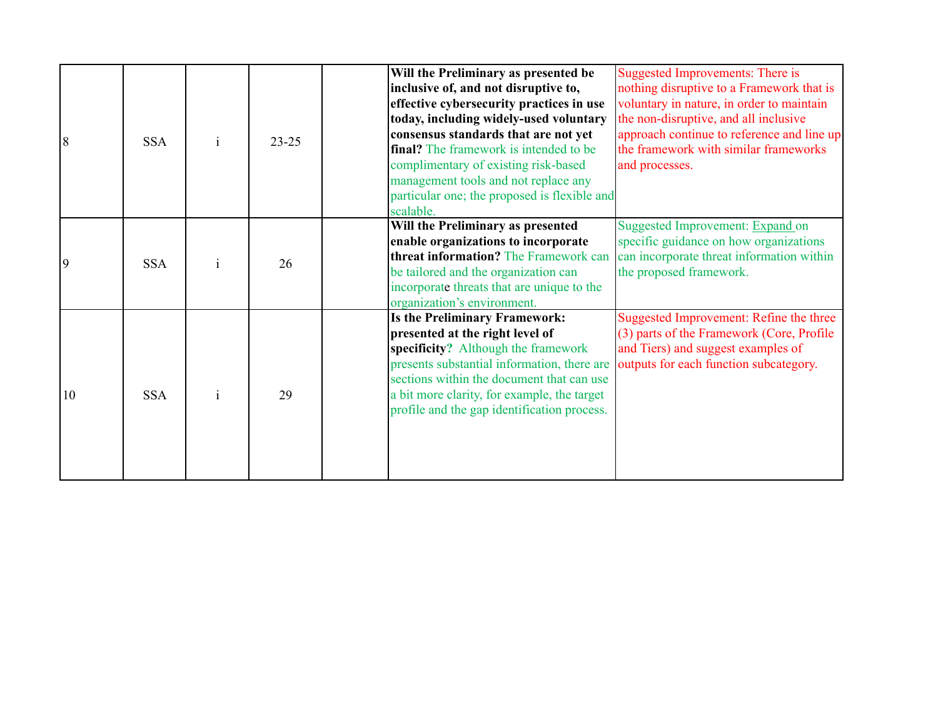| 18 | <b>SSA</b> | $23 - 25$ | Will the Preliminary as presented be<br>inclusive of, and not disruptive to,<br>effective cybersecurity practices in use<br>today, including widely-used voluntary<br>consensus standards that are not yet<br><b>final?</b> The framework is intended to be<br>complimentary of existing risk-based<br>management tools and not replace any<br>particular one; the proposed is flexible and<br>scalable. | Suggested Improvements: There is<br>nothing disruptive to a Framework that is<br>voluntary in nature, in order to maintain<br>the non-disruptive, and all inclusive<br>approach continue to reference and line up<br>the framework with similar frameworks<br>and processes. |
|----|------------|-----------|----------------------------------------------------------------------------------------------------------------------------------------------------------------------------------------------------------------------------------------------------------------------------------------------------------------------------------------------------------------------------------------------------------|------------------------------------------------------------------------------------------------------------------------------------------------------------------------------------------------------------------------------------------------------------------------------|
| 19 | <b>SSA</b> | 26        | Will the Preliminary as presented<br>enable organizations to incorporate<br>threat information? The Framework can<br>be tailored and the organization can<br>incorporate threats that are unique to the<br>organization's environment.                                                                                                                                                                   | Suggested Improvement: Expand on<br>specific guidance on how organizations<br>can incorporate threat information within<br>the proposed framework.                                                                                                                           |
| 10 | <b>SSA</b> | 29        | <b>Is the Preliminary Framework:</b><br>presented at the right level of<br>specificity? Although the framework<br>presents substantial information, there are outputs for each function subcategory.<br>sections within the document that can use<br>a bit more clarity, for example, the target<br>profile and the gap identification process.                                                          | Suggested Improvement: Refine the three<br>(3) parts of the Framework (Core, Profile<br>and Tiers) and suggest examples of                                                                                                                                                   |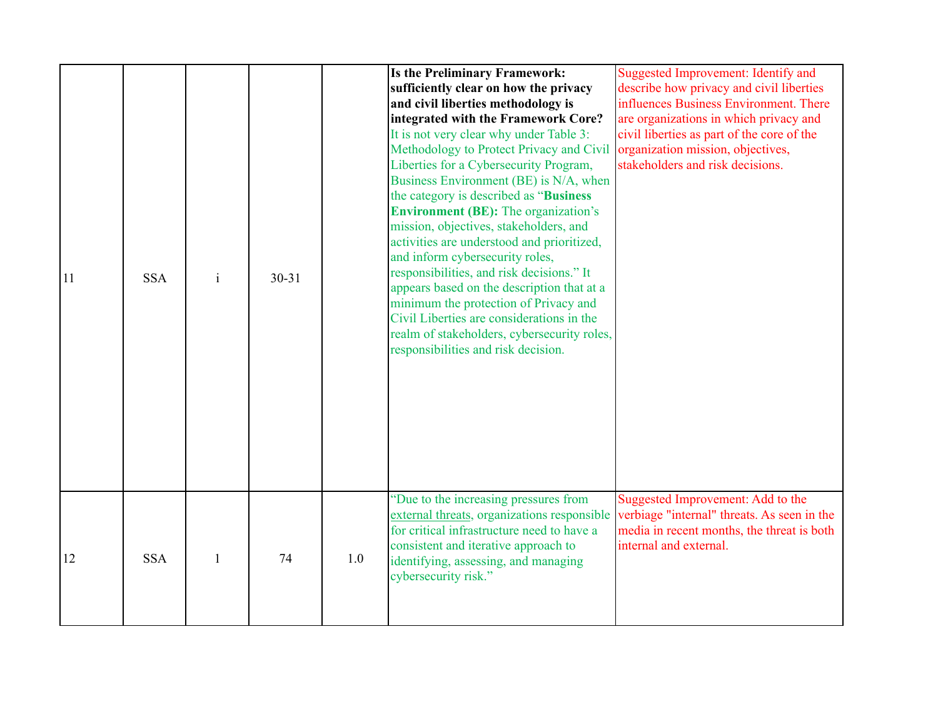| 11 | <b>SSA</b> | $\mathbf{i}$ | $30 - 31$ |     | <b>Is the Preliminary Framework:</b><br>sufficiently clear on how the privacy<br>and civil liberties methodology is<br>integrated with the Framework Core?<br>It is not very clear why under Table 3:<br>Methodology to Protect Privacy and Civil<br>Liberties for a Cybersecurity Program,<br>Business Environment (BE) is N/A, when<br>the category is described as "Business"<br><b>Environment (BE):</b> The organization's<br>mission, objectives, stakeholders, and<br>activities are understood and prioritized,<br>and inform cybersecurity roles,<br>responsibilities, and risk decisions." It<br>appears based on the description that at a<br>minimum the protection of Privacy and<br>Civil Liberties are considerations in the<br>realm of stakeholders, cybersecurity roles,<br>responsibilities and risk decision. | Suggested Improvement: Identify and<br>describe how privacy and civil liberties<br>influences Business Environment. There<br>are organizations in which privacy and<br>civil liberties as part of the core of the<br>organization mission, objectives,<br>stakeholders and risk decisions. |
|----|------------|--------------|-----------|-----|-----------------------------------------------------------------------------------------------------------------------------------------------------------------------------------------------------------------------------------------------------------------------------------------------------------------------------------------------------------------------------------------------------------------------------------------------------------------------------------------------------------------------------------------------------------------------------------------------------------------------------------------------------------------------------------------------------------------------------------------------------------------------------------------------------------------------------------|--------------------------------------------------------------------------------------------------------------------------------------------------------------------------------------------------------------------------------------------------------------------------------------------|
| 12 | <b>SSA</b> | $\mathbf{1}$ | 74        | 1.0 | "Due to the increasing pressures from<br>external threats, organizations responsible<br>for critical infrastructure need to have a<br>consistent and iterative approach to<br>identifying, assessing, and managing<br>cybersecurity risk."                                                                                                                                                                                                                                                                                                                                                                                                                                                                                                                                                                                        | Suggested Improvement: Add to the<br>verbiage "internal" threats. As seen in the<br>media in recent months, the threat is both<br>internal and external.                                                                                                                                   |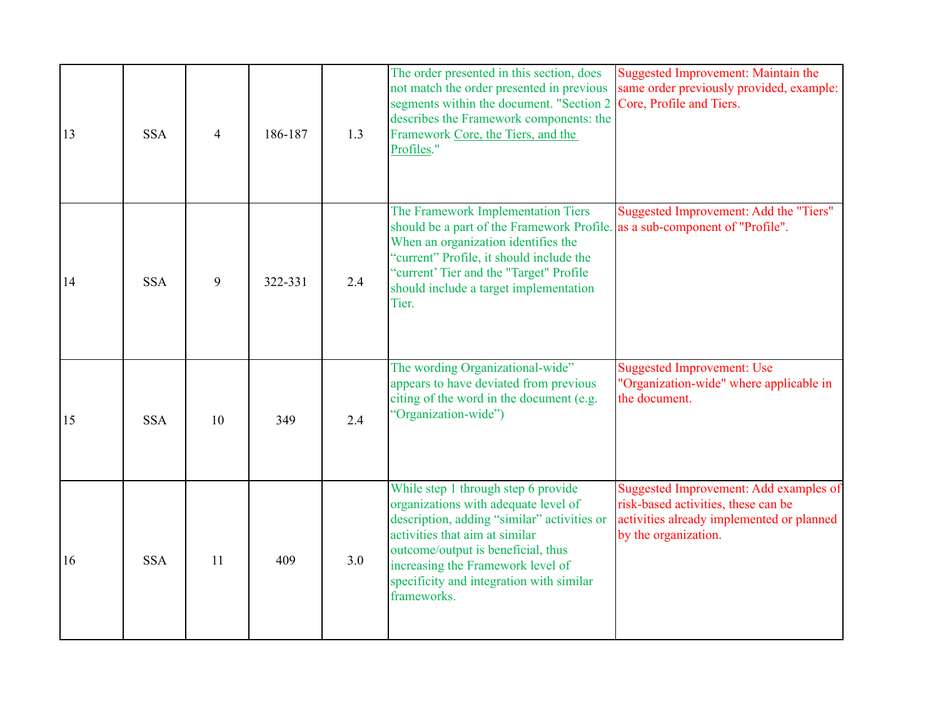| 13 | <b>SSA</b> | 4  | 186-187 | 1.3 | The order presented in this section, does<br>not match the order presented in previous<br>segments within the document. "Section 2<br>describes the Framework components: the<br>Framework Core, the Tiers, and the<br>Profiles."                                                                  | <b>Suggested Improvement: Maintain the</b><br>same order previously provided, example:<br>Core, Profile and Tiers.                                 |
|----|------------|----|---------|-----|----------------------------------------------------------------------------------------------------------------------------------------------------------------------------------------------------------------------------------------------------------------------------------------------------|----------------------------------------------------------------------------------------------------------------------------------------------------|
| 14 | <b>SSA</b> | 9  | 322-331 | 2.4 | The Framework Implementation Tiers<br>should be a part of the Framework Profile. as a sub-component of "Profile".<br>When an organization identifies the<br>"current" Profile, it should include the<br>"current' Tier and the "Target" Profile<br>should include a target implementation<br>Tier. | Suggested Improvement: Add the "Tiers"                                                                                                             |
| 15 | <b>SSA</b> | 10 | 349     | 2.4 | The wording Organizational-wide"<br>appears to have deviated from previous<br>citing of the word in the document (e.g.<br>"Organization-wide")                                                                                                                                                     | <b>Suggested Improvement: Use</b><br>"Organization-wide" where applicable in<br>the document.                                                      |
| 16 | <b>SSA</b> | 11 | 409     | 3.0 | While step 1 through step 6 provide<br>organizations with adequate level of<br>description, adding "similar" activities or<br>activities that aim at similar<br>outcome/output is beneficial, thus<br>increasing the Framework level of<br>specificity and integration with similar<br>frameworks. | Suggested Improvement: Add examples of<br>risk-based activities, these can be<br>activities already implemented or planned<br>by the organization. |